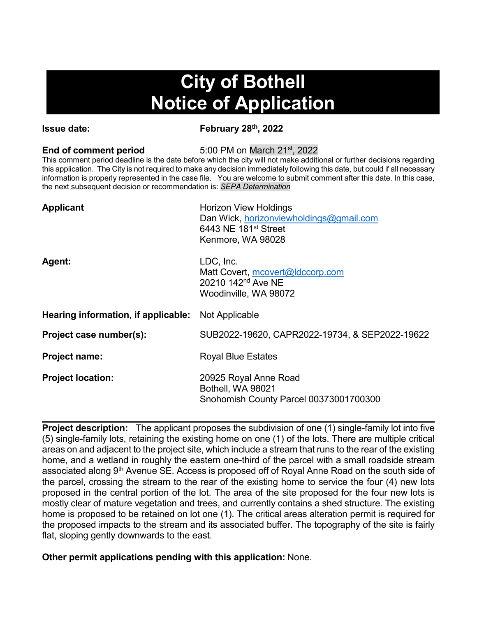# **City of Bothell Notice of Application**

**Issue date: February 28th, 2022**

**End of comment period** 5:00 PM on March 21<sup>st</sup>, 2022

This comment period deadline is the date before which the city will not make additional or further decisions regarding this application. The City is not required to make any decision immediately following this date, but could if all necessary information is properly represented in the case file. You are welcome to submit comment after this date. In this case, the next subsequent decision or recommendation is: *SEPA Determination*

| <b>Applicant</b>                    | <b>Horizon View Holdings</b><br>Dan Wick, horizonviewholdings@gmail.com<br>6443 NE 181 <sup>st</sup> Street<br>Kenmore, WA 98028 |
|-------------------------------------|----------------------------------------------------------------------------------------------------------------------------------|
| Agent:                              | LDC, Inc.<br>Matt Covert, mcovert@ldccorp.com<br>20210 142 <sup>nd</sup> Ave NE<br>Woodinville, WA 98072                         |
| Hearing information, if applicable: | Not Applicable                                                                                                                   |
| Project case number(s):             | SUB2022-19620, CAPR2022-19734, & SEP2022-19622                                                                                   |
| <b>Project name:</b>                | <b>Royal Blue Estates</b>                                                                                                        |
| <b>Project location:</b>            | 20925 Royal Anne Road<br>Bothell, WA 98021<br>Snohomish County Parcel 00373001700300                                             |

**Project description:** The applicant proposes the subdivision of one (1) single-family lot into five (5) single-family lots, retaining the existing home on one (1) of the lots. There are multiple critical areas on and adjacent to the project site, which include a stream that runs to the rear of the existing home, and a wetland in roughly the eastern one-third of the parcel with a small roadside stream associated along 9<sup>th</sup> Avenue SE. Access is proposed off of Royal Anne Road on the south side of the parcel, crossing the stream to the rear of the existing home to service the four (4) new lots proposed in the central portion of the lot. The area of the site proposed for the four new lots is mostly clear of mature vegetation and trees, and currently contains a shed structure. The existing home is proposed to be retained on lot one (1). The critical areas alteration permit is required for the proposed impacts to the stream and its associated buffer. The topography of the site is fairly flat, sloping gently downwards to the east.

**Other permit applications pending with this application:** None.